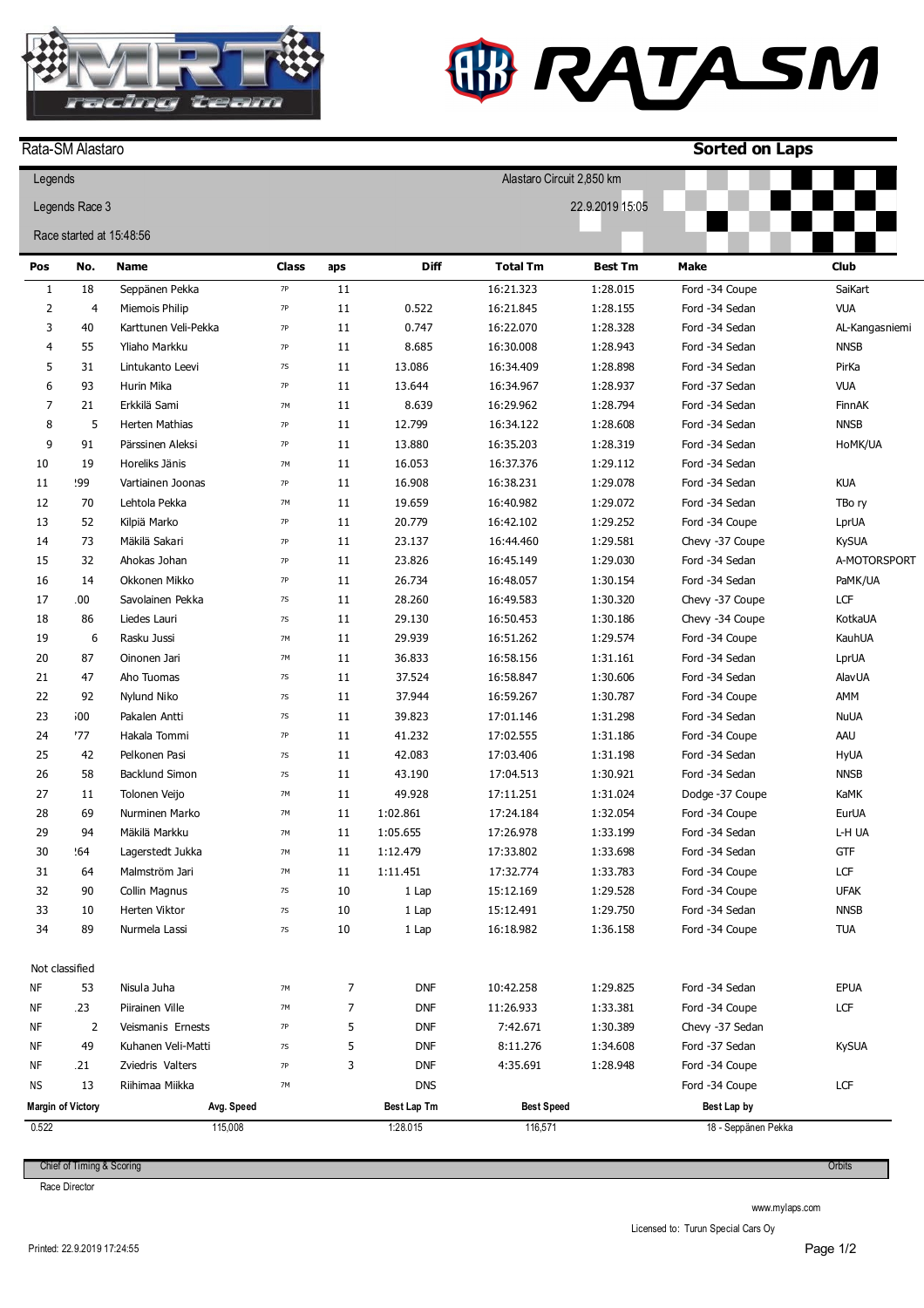

Rata-SM Alastaro

## **W RATASM**

**Sorted on Laps**

| Legends                           |                |                       |               |                |             | Alastaro Circuit 2,850 km |                |                     |                |
|-----------------------------------|----------------|-----------------------|---------------|----------------|-------------|---------------------------|----------------|---------------------|----------------|
| Legends Race 3<br>22.9.2019 15:05 |                |                       |               |                |             |                           |                |                     |                |
| Race started at 15:48:56          |                |                       |               |                |             |                           |                |                     |                |
|                                   |                |                       |               |                |             |                           |                |                     |                |
| Pos                               | No.            | <b>Name</b>           | <b>Class</b>  | aps            | Diff        | <b>Total Tm</b>           | <b>Best Tm</b> | <b>Make</b>         | <b>Club</b>    |
| $\mathbf{1}$                      | 18             | Seppänen Pekka        | <b>7P</b>     | 11             |             | 16:21.323                 | 1:28.015       | Ford -34 Coupe      | SaiKart        |
| $\overline{2}$                    | 4              | Miemois Philip        | <b>7P</b>     | 11             | 0.522       | 16:21.845                 | 1:28.155       | Ford -34 Sedan      | <b>VUA</b>     |
| 3                                 | 40             | Karttunen Veli-Pekka  | <b>7P</b>     | 11             | 0.747       | 16:22.070                 | 1:28.328       | Ford -34 Sedan      | AL-Kangasniemi |
| 4                                 | 55             | Yliaho Markku         | <b>7P</b>     | 11             | 8.685       | 16:30.008                 | 1:28.943       | Ford -34 Sedan      | <b>NNSB</b>    |
| 5                                 | 31             | Lintukanto Leevi      | <b>7S</b>     | 11             | 13.086      | 16:34.409                 | 1:28.898       | Ford -34 Sedan      | PirKa          |
| 6                                 | 93             | Hurin Mika            | <b>7P</b>     | 11             | 13.644      | 16:34.967                 | 1:28.937       | Ford -37 Sedan      | <b>VUA</b>     |
| $\overline{7}$                    | 21             | Erkkilä Sami          | $7M$          | 11             | 8.639       | 16:29.962                 | 1:28.794       | Ford -34 Sedan      | FinnAK         |
| 8                                 | 5              | Herten Mathias        | <b>7P</b>     | 11             | 12.799      | 16:34.122                 | 1:28.608       | Ford -34 Sedan      | <b>NNSB</b>    |
| 9                                 | 91             | Pärssinen Aleksi      | <b>7P</b>     | 11             | 13.880      | 16:35.203                 | 1:28.319       | Ford -34 Sedan      | HoMK/UA        |
| 10                                | 19             | Horeliks Jänis        | $7M$          | 11             | 16.053      | 16:37.376                 | 1:29.112       | Ford -34 Sedan      |                |
| 11                                | 99؛            | Vartiainen Joonas     | <b>7P</b>     | 11             | 16.908      | 16:38.231                 | 1:29.078       | Ford -34 Sedan      | <b>KUA</b>     |
| 12                                | 70             | Lehtola Pekka         | $7M$          | 11             | 19.659      | 16:40.982                 | 1:29.072       | Ford -34 Sedan      | TBo ry         |
| 13                                | 52             | Kilpiä Marko          | <b>7P</b>     | 11             | 20.779      | 16:42.102                 | 1:29.252       | Ford -34 Coupe      | LprUA          |
| 14                                | 73             | Mäkilä Sakari         | <b>7P</b>     | 11             | 23.137      | 16:44.460                 | 1:29.581       | Chevy -37 Coupe     | <b>KySUA</b>   |
| 15                                | 32             | Ahokas Johan          | <b>7P</b>     | 11             | 23.826      | 16:45.149                 | 1:29.030       | Ford -34 Sedan      | A-MOTORSPORT   |
| 16                                | 14             | Okkonen Mikko         | <b>7P</b>     | 11             | 26.734      | 16:48.057                 | 1:30.154       | Ford -34 Sedan      | PaMK/UA        |
| 17                                | .00            | Savolainen Pekka      | $7\mathrm{S}$ | 11             | 28.260      | 16:49.583                 | 1:30.320       | Chevy -37 Coupe     | LCF            |
| 18                                | 86             | Liedes Lauri          | <b>7S</b>     | 11             | 29.130      | 16:50.453                 | 1:30.186       | Chevy -34 Coupe     | KotkaUA        |
| 19                                | 6              | Rasku Jussi           | 7M            | 11             | 29.939      | 16:51.262                 | 1:29.574       | Ford -34 Coupe      | KauhUA         |
| 20                                | 87             | Oinonen Jari          | $7M$          | 11             | 36.833      | 16:58.156                 | 1:31.161       | Ford -34 Sedan      | LprUA          |
| 21                                | 47             | Aho Tuomas            | <b>7S</b>     | 11             | 37.524      | 16:58.847                 | 1:30.606       | Ford -34 Sedan      | <b>AlavUA</b>  |
| 22                                | 92             | Nylund Niko           | <b>7S</b>     | 11             | 37.944      | 16:59.267                 | 1:30.787       | Ford -34 Coupe      | AMM            |
| 23                                | 500            | Pakalen Antti         | <b>7S</b>     | 11             | 39.823      | 17:01.146                 | 1:31.298       | Ford -34 Sedan      | <b>NuUA</b>    |
| 24                                | 77             | Hakala Tommi          | <b>7P</b>     | 11             | 41.232      | 17:02.555                 | 1:31.186       | Ford -34 Coupe      | AAU            |
| 25                                | 42             | Pelkonen Pasi         | <b>7S</b>     | 11             | 42.083      | 17:03.406                 | 1:31.198       | Ford -34 Sedan      | <b>HyUA</b>    |
| 26                                | 58             | Backlund Simon        | <b>7S</b>     | 11             | 43.190      | 17:04.513                 | 1:30.921       | Ford -34 Sedan      | <b>NNSB</b>    |
| 27                                | 11             | Tolonen Veijo         | 7M            | 11             | 49.928      | 17:11.251                 | 1:31.024       | Dodge -37 Coupe     | KaMK           |
| 28                                | 69             | Nurminen Marko        | 7M            | 11             | 1:02.861    | 17:24.184                 | 1:32.054       | Ford -34 Coupe      | EurUA          |
| 29                                | 94             | Mäkilä Markku         | 7M            | 11             | 1:05.655    | 17:26.978                 | 1:33.199       | Ford -34 Sedan      | L-H UA         |
| 30                                | .64            | Lagerstedt Jukka      | 7M            | 11             | 1:12.479    | 17:33.802                 | 1:33.698       | Ford -34 Sedan      | <b>GTF</b>     |
| 31                                | 64             | Malmström Jari        | 7M            | 11             | 1:11.451    | 17:32.774                 | 1:33.783       | Ford -34 Coupe      | LCF            |
| 32                                | 90             | Collin Magnus         | 7S            | 10             | 1 Lap       | 15:12.169                 | 1:29.528       | Ford -34 Coupe      | <b>UFAK</b>    |
| 33                                | 10             | Herten Viktor         | 7S            | 10             | 1 Lap       | 15:12.491                 | 1:29.750       | Ford -34 Sedan      | <b>NNSB</b>    |
| 34                                | 89             | Nurmela Lassi         | 7S            | 10             | 1 Lap       | 16:18.982                 | 1:36.158       | Ford -34 Coupe      | TUA            |
|                                   | Not classified |                       |               |                |             |                           |                |                     |                |
| ΝF                                | 53             | Nisula Juha           | 7M            | $\overline{7}$ | <b>DNF</b>  | 10:42.258                 | 1:29.825       | Ford -34 Sedan      | <b>EPUA</b>    |
| ΝF                                | 123            | Piirainen Ville       | 7M            | 7              | <b>DNF</b>  | 11:26.933                 | 1:33.381       | Ford -34 Coupe      | LCF            |
| ΝF                                | 2              | Veismanis Ernests     | $7\mathsf{P}$ | 5              | <b>DNF</b>  | 7:42.671                  | 1:30.389       | Chevy -37 Sedan     |                |
| ΝF                                | 49             | Kuhanen Veli-Matti    | 7S            | 5              | <b>DNF</b>  | 8:11.276                  | 1:34.608       | Ford -37 Sedan      | <b>KySUA</b>   |
| ΝF                                | 121            | Zviedris Valters      | $7\mathsf{P}$ | 3              | <b>DNF</b>  | 4:35.691                  | 1:28.948       | Ford -34 Coupe      |                |
| ΝS                                | 13             | Riihimaa Miikka       | 7M            |                | <b>DNS</b>  |                           |                | Ford -34 Coupe      | LCF            |
|                                   |                |                       |               |                | Best Lap Tm | <b>Best Speed</b>         |                | Best Lap by         |                |
| <b>Margin of Victory</b><br>0.522 |                | Avg. Speed<br>115,008 |               |                | 1:28.015    | 116,571                   |                | 18 - Seppänen Pekka |                |

Chief of Timing & Scoring

Race Director

www.mylaps.com

Licensed to: Turun Special Cars Oy

**Orbits**